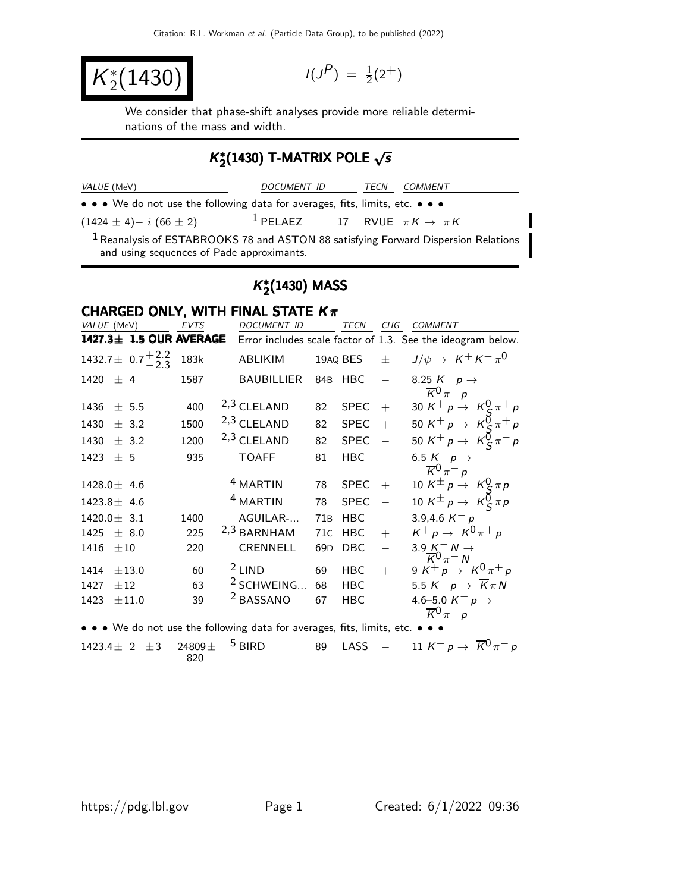$K_2^*(1430)$   $(1)$ 

 $P$ ) =  $\frac{1}{2}(2^{+})$ 

We consider that phase-shift analyses provide more reliable determinations of the mass and width.

# $\mathcal{K}_2^*(1430)$  T-MATRIX POLE  $\sqrt{s}$

| <b>VALUE</b><br>'MeV | ΙC<br><i>IMEN</i><br>м | ECN | $JMMEN$ <sup>T</sup> |  |
|----------------------|------------------------|-----|----------------------|--|
|                      |                        |     |                      |  |

• • • We do not use the following data for averages, fits, limits, etc. • • •

 $(1424 \pm 4)-i (66 \pm 2)$  1 PELAEZ 17 RVUE  $\pi K \to \pi K$ 

 $1$  Reanalysis of ESTABROOKS 78 and ASTON 88 satisfying Forward Dispersion Relations and using sequences of Pade approximants.

# $K^*_2$ (1430) MASS

#### CHARGED ONLY, WITH FINAL STATE  $K_{\pi}$

| VALUE (MeV)                    | EVTS | <b>DOCUMENT ID</b>    |                 | TECN        | CHG                      | <b>COMMENT</b>                                                                                                       |
|--------------------------------|------|-----------------------|-----------------|-------------|--------------------------|----------------------------------------------------------------------------------------------------------------------|
| 1427.3± 1.5 OUR AVERAGE        |      |                       |                 |             |                          | Error includes scale factor of 1.3. See the ideogram below.                                                          |
| 1432.7 ± $0.7\frac{+2.2}{2.3}$ | 183k | ABLIKIM               |                 | 19AQ BES    | $\pm$                    | $J/\psi \rightarrow K^+ K^- \pi^0$                                                                                   |
| 1420 $\pm$ 4                   | 1587 | <b>BAUBILLIER</b>     |                 | 84B HBC     | $\overline{\phantom{0}}$ | 8.25 $K^- p \rightarrow$<br>$\overline{K}^0 \pi^- p$                                                                 |
| 1436<br>± 5.5                  | 400  | 2,3 CLELAND           | 82              | <b>SPEC</b> | $+$                      | 30 $K^+ p \rightarrow K_S^0 \pi^+ p$<br>50 $K^+ p \rightarrow K_S^0 \pi^+ p$<br>50 $K^+ p \rightarrow K_S^0 \pi^- p$ |
| 1430<br>$\pm$ 3.2              | 1500 | 2,3 CLELAND           | 82              | <b>SPEC</b> | $+$                      |                                                                                                                      |
| 1430<br>$\pm$ 3.2              | 1200 | 2,3 CLELAND           | 82              | <b>SPEC</b> |                          |                                                                                                                      |
| 1423 $\pm$ 5                   | 935  | <b>TOAFF</b>          | 81              | HBC         |                          | 6.5 $K^- p \rightarrow$<br>$\overline{K}{}^{\overline{0}}\pi^-$ p                                                    |
| $1428.0 \pm 4.6$               |      | <sup>4</sup> MARTIN   | 78              | <b>SPEC</b> | $+$                      |                                                                                                                      |
| $1423.8 \pm 4.6$               |      | <sup>4</sup> MARTIN   | 78              | <b>SPEC</b> |                          | 10 $K^{\pm} p \rightarrow K_S^0 \pi p$<br>10 $K^{\pm} p \rightarrow K_S^0 \pi p$                                     |
| $1420.0 \pm 3.1$               | 1400 | AGUILAR-              | 71B             | <b>HBC</b>  | $\overline{\phantom{0}}$ | 3.9,4.6 $K^- p$                                                                                                      |
| $1425 \pm 8.0$                 | 225  | $2,3$ BARNHAM         | 71C             | <b>HBC</b>  | $+$                      | $K^+ p \rightarrow K^0 \pi^+ p$                                                                                      |
| 1416<br>$\pm 10$               | 220  | CRENNELL              | 69 <sub>D</sub> | DBC         | $\overline{\phantom{m}}$ | $\frac{3.9 K^- N}{K^0 \pi^- N}$                                                                                      |
| ±13.0<br>1414                  | 60   | $2$ LIND              | 69              | HBC         | $+$                      | 9 K <sup>+</sup> p $\rightarrow$ K <sup>0</sup> $\pi$ <sup>+</sup> p                                                 |
| 1427<br>$\pm 12$               | 63   | <sup>2</sup> SCHWEING | 68              | <b>HBC</b>  | $\overline{\phantom{m}}$ | 5.5 $K^- p \rightarrow \overline{K} \pi N$                                                                           |
| ±11.0<br>1423                  | 39   | <sup>2</sup> BASSANO  | 67              | HBC         | $\overline{\phantom{m}}$ | 4.6–5.0 $K^- p \rightarrow$                                                                                          |
|                                |      |                       |                 |             |                          | $\overline{K}^0 \pi^- p$                                                                                             |

• • • We do not use the following data for averages, fits, limits, etc. • • • • 1423.4 $\pm$  2  $\pm$ 3 24809 $\pm$  <sup>5</sup> BIRD 89 LASS - 11 K<sup>-</sup>  $1423.4 \pm 2 \pm 3$  24809  $\pm$ 820 89 LASS − 11 K<sup>-</sup> p →  $\overline{K}$ <sup>0</sup> $\pi$ <sup>-</sup> p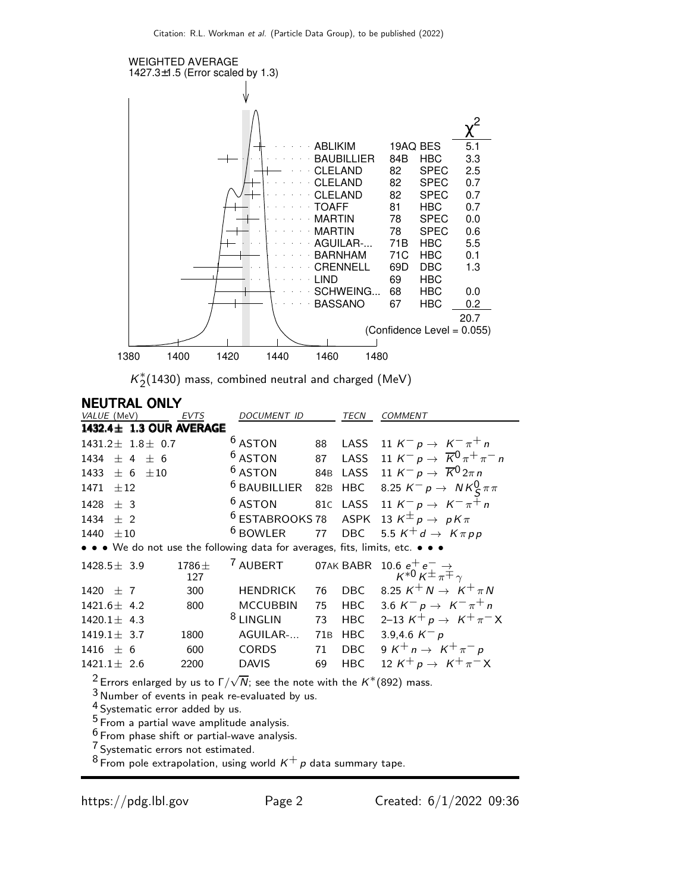

 $K_{2}^{*}(1430)$  mass, combined neutral and charged  $(\sf{MeV})$ 

| <b>NEUTRAL ONLY</b>                                                                                                                                           |              |                                                                                                                                                                |     |             |                                                                         |
|---------------------------------------------------------------------------------------------------------------------------------------------------------------|--------------|----------------------------------------------------------------------------------------------------------------------------------------------------------------|-----|-------------|-------------------------------------------------------------------------|
| VALUE (MeV)                                                                                                                                                   | <b>EVTS</b>  | <b>DOCUMENT ID</b>                                                                                                                                             |     | <b>TECN</b> | <b>COMMENT</b>                                                          |
| 1432.4± 1.3 OUR AVERAGE                                                                                                                                       |              |                                                                                                                                                                |     |             |                                                                         |
| $1431.2 \pm 1.8 \pm 0.7$                                                                                                                                      |              | <sup>6</sup> ASTON                                                                                                                                             | 88  | LASS        | 11 $K^- p \to K^- \pi^+ n$                                              |
| 1434<br>$\pm$ 4 $\pm$ 6                                                                                                                                       |              | $6$ ASTON                                                                                                                                                      | 87  | LASS        | 11 K <sup>-</sup> p $\rightarrow \overline{K}^{0} \pi^{+} \pi^{-} n$    |
| 1433<br>$\pm$ 6<br>$\pm 10$                                                                                                                                   |              | <sup>6</sup> ASTON                                                                                                                                             |     | 84B LASS    | 11 $K^- p \rightarrow \overline{K}^0 2\pi n$                            |
| ±12<br>1471                                                                                                                                                   |              | <sup>6</sup> BAUBILLIER 82B HBC                                                                                                                                |     |             | 8.25 $K^- p \rightarrow N K^0_S \pi \pi$                                |
| 1428 $\pm$ 3                                                                                                                                                  |              | $6$ ASTON                                                                                                                                                      |     | 81C LASS    | 11 K <sup>-</sup> p $\rightarrow$ K <sup>-</sup> $\pi^+$ n              |
| 1434<br>$+2$                                                                                                                                                  |              |                                                                                                                                                                |     |             | <sup>6</sup> ESTABROOKS 78 ASPK 13 $K^{\pm}p \rightarrow pK\pi$         |
| 1440<br>$+10$                                                                                                                                                 |              | $6$ BOWLER                                                                                                                                                     |     |             | 77 DBC 5.5 $K^+d \rightarrow K\pi pp$                                   |
| • • • We do not use the following data for averages, fits, limits, etc. • • •                                                                                 |              |                                                                                                                                                                |     |             |                                                                         |
| $1428.5 \pm 3.9$                                                                                                                                              | 1786±<br>127 | <sup>7</sup> AUBERT                                                                                                                                            |     |             | 07AK BABR 10.6 $e^+e^- \rightarrow$<br>$K^{*0}K^{\pm} \pi^{\mp} \gamma$ |
| 1420 $\pm$ 7                                                                                                                                                  | 300          | <b>HENDRICK</b>                                                                                                                                                | 76  | <b>DBC</b>  | 8.25 $K^+N \rightarrow K^+\pi N$                                        |
| $1421.6 \pm 4.2$                                                                                                                                              | 800          | <b>MCCUBBIN</b>                                                                                                                                                | 75  |             | HBC 3.6 $K^- p \to K^- \pi^+ n$                                         |
| $1420.1 \pm 4.3$                                                                                                                                              |              | <sup>8</sup> LINGLIN                                                                                                                                           | 73  | HBC         | 2–13 $K^+ p \to K^+ \pi^- X$                                            |
| $1419.1 \pm 3.7$                                                                                                                                              | 1800         | AGUILAR-                                                                                                                                                       | 71B | <b>HBC</b>  | 3.9,4.6 $K^- p$                                                         |
| $1416 \pm 6$                                                                                                                                                  | 600          | <b>CORDS</b>                                                                                                                                                   | 71  | <b>DBC</b>  | 9 K <sup>+</sup> n $\rightarrow$ K <sup>+</sup> $\pi$ <sup>-</sup> p    |
| $1421.1 \pm 2.6$                                                                                                                                              | 2200         | <b>DAVIS</b>                                                                                                                                                   | 69  | <b>HBC</b>  | 12 K <sup>+</sup> p $\rightarrow$ K <sup>+</sup> $\pi$ <sup>-</sup> X   |
| <sup>4</sup> Systematic error added by us.<br><sup>5</sup> From a partial wave amplitude analysis.<br><sup>6</sup> From phase shift or partial-wave analysis. |              | <sup>2</sup> Errors enlarged by us to $\Gamma/\sqrt{N}$ ; see the note with the K <sup>*</sup> (892) mass.<br>$3$ Number of events in peak re-evaluated by us. |     |             |                                                                         |

<sup>7</sup> Systematic errors not estimated.

 $^8$  From pole extrapolation, using world  $\kappa^+$   $\!p$  data summary tape.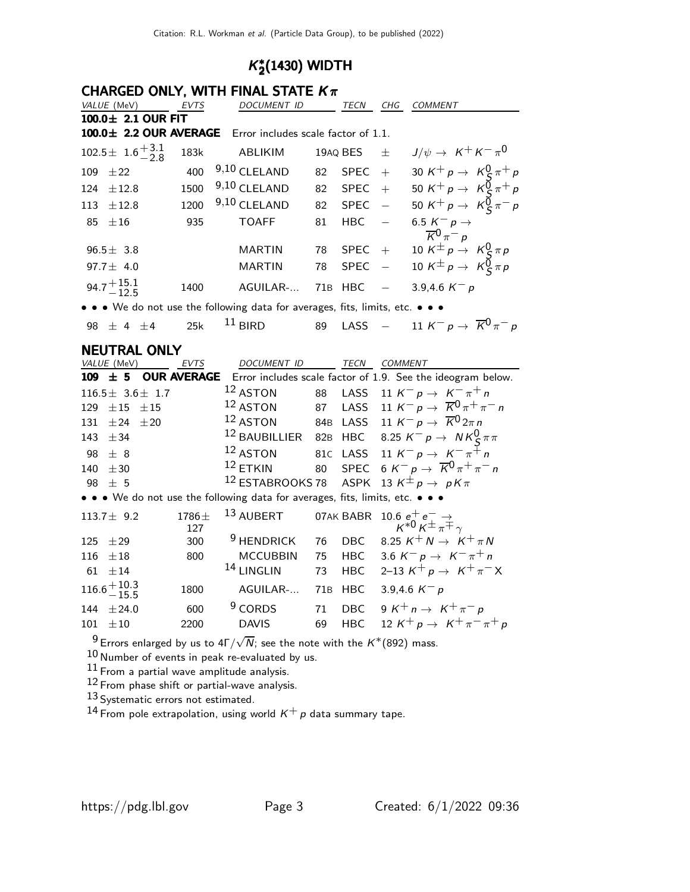# $K^*_2$ (1430) WIDTH

|                               |                    | CHARGED ONLY, WITH FINAL STATE $K_{\pi}$                                      |     |              |                          |                                                                                    |
|-------------------------------|--------------------|-------------------------------------------------------------------------------|-----|--------------|--------------------------|------------------------------------------------------------------------------------|
| VALUE (MeV)                   | EVTS               | DOCUMENT ID                                                                   |     |              |                          | TECN CHG COMMENT                                                                   |
| 100.0± 2.1 OUR FIT            |                    |                                                                               |     |              |                          |                                                                                    |
|                               |                    | 100.0± 2.2 OUR AVERAGE Error includes scale factor of 1.1.                    |     |              |                          |                                                                                    |
| $102.5 \pm 1.6_{-2.8}^{+3.1}$ | 183k               | ABLIKIM                                                                       |     | 19AQ BES     | $\pm$                    | $J/\psi \rightarrow K^+ K^- \pi^0$                                                 |
| 109<br>±22                    | 400                | 9,10 CLELAND                                                                  | 82  | <b>SPEC</b>  | $+$                      | 30 K <sup>+</sup> p $\rightarrow$ K <sup>0</sup> <sub>C</sub> $\pi$ <sup>+</sup> p |
| 124<br>$\pm 12.8$             | 1500               | 9,10 CLELAND                                                                  | 82  | SPEC         | $+$                      | 50 K <sup>+</sup> p $\rightarrow$ K <sup>0</sup> <sub>S</sub> $\pi$ <sup>+</sup> p |
| $\pm 12.8$<br>113             | 1200               | 9,10 CLELAND                                                                  | 82  | <b>SPEC</b>  | $\overline{\phantom{a}}$ | 50 K <sup>+</sup> p $\rightarrow$ K <sup>0</sup> <sub>S</sub> $\pi$ <sup>-</sup> p |
| 85 $\pm 16$                   | 935                | <b>TOAFF</b>                                                                  | 81  | HBC          | $\overline{\phantom{m}}$ | 6.5 $K^ p \rightarrow$<br>$\overline{K}{}^0\pi^-$ p                                |
| $96.5 \pm 3.8$                |                    | <b>MARTIN</b>                                                                 | 78  | $SPEC +$     |                          | 10 $K^{\pm} p \rightarrow K^0_S \pi p$                                             |
| 97.7 $\pm$ 4.0                |                    | <b>MARTIN</b>                                                                 | 78  | <b>SPEC</b>  | $\frac{1}{2}$            | 10 $K^{\pm} p \rightarrow K^{\overline{0}}_{S} \pi p$                              |
| 94.7 $^{+15.1}_{-12.5}$       | 1400               | AGUILAR-                                                                      | 71B | <b>HBC</b>   |                          | 3.9,4.6 $K^- p$                                                                    |
|                               |                    | • • • We do not use the following data for averages, fits, limits, etc. • • • |     |              |                          |                                                                                    |
| 98 $\pm$ 4 $\pm$ 4            | 25k                | $11$ BIRD                                                                     | 89  |              |                          | LASS $-$ 11 $K^- p \rightarrow \overline{K}^0 \pi^- p$                             |
| <b>NEUTRAL ONLY</b>           |                    |                                                                               |     |              |                          |                                                                                    |
| VALUE (MeV)                   | EVTS               | <b>DOCUMENT ID</b>                                                            |     | TECN COMMENT |                          |                                                                                    |
| $109 \pm 5$                   | <b>OUR AVERAGE</b> |                                                                               |     |              |                          | Error includes scale factor of 1.9. See the ideogram below.                        |
| $116.5 \pm 3.6 \pm 1.7$       |                    | $12$ ASTON                                                                    |     |              |                          | 88 LASS 11 $K^- p \to K^- \pi^+ n$                                                 |
| 129 $\pm 15$<br>±15           |                    | $12$ ASTON                                                                    |     | 87 LASS      |                          | 11 K <sup>-</sup> p $\rightarrow \overline{K}^{0} \pi^{+} \pi^{-} n$               |
| 131 $\pm 24$ $\pm 20$         |                    | $12$ ASTON                                                                    |     |              |                          | 84B LASS 11 $K^ p\rightarrow \overline{K}{}^0$ $2\pi$ n                            |
| 143 $\pm$ 34                  |                    |                                                                               |     |              |                          | <sup>12</sup> BAUBILLIER 82B HBC 8.25 $K^- p \rightarrow N K^0_S \pi \pi$          |
| 98 $\pm$ 8                    |                    | $12$ ASTON                                                                    |     | 81C LASS     |                          | 11 $K^- p \to K^- \pi^+ n$                                                         |
| 140 $\pm 30$                  |                    | $12$ ETKIN                                                                    |     |              |                          | 80 SPEC 6 K <sup>-</sup> p $\rightarrow \overline{K}^0 \pi^+ \pi^- n$              |
| ± 5<br>98                     |                    | <sup>12</sup> ESTABROOKS 78 ASPK                                              |     |              |                          | 13 $K^{\pm} p \rightarrow p K \pi$                                                 |
|                               |                    | • • • We do not use the following data for averages, fits, limits, etc. • • • |     |              |                          |                                                                                    |
|                               |                    | 1127   02   1706   $\frac{13}{13}$ AUPERT   07AV PAPP 10.6 + + -              |     |              |                          |                                                                                    |

| 113.7 $\pm$ 9.2                | $1786\pm$<br>127 |                                       |  | $^{13}$ AUBERT $\qquad$ 07AK BABR $\qquad$ 10.6 $e^+e^-\rightarrow \qquad$ $\qquad$ $\qquad$ $\qquad$ $\qquad$ $\qquad$ $\qquad$ $\qquad$ $\qquad$ $\qquad$ $\qquad$ $\qquad$ $\qquad$ $\qquad$ $\qquad$ $\qquad$ $\qquad$ $\qquad$ $\qquad$ $\qquad$ $\qquad$ $\qquad$ $\qquad$ $\qquad$ $\qquad$ $\qquad$ $\qquad$ $\qquad$ $\qquad$ |
|--------------------------------|------------------|---------------------------------------|--|----------------------------------------------------------------------------------------------------------------------------------------------------------------------------------------------------------------------------------------------------------------------------------------------------------------------------------------|
| 125 $\pm 29$                   | 300              |                                       |  | <sup>9</sup> HENDRICK 76 DBC 8.25 $K^+N \rightarrow K^+\pi N$                                                                                                                                                                                                                                                                          |
| 116 $\pm 18$                   | 800              |                                       |  | MCCUBBIN 75 HBC 3.6 $K^- p \rightarrow K^- \pi^+ n$                                                                                                                                                                                                                                                                                    |
| 61 $\pm 14$                    |                  |                                       |  | <sup>14</sup> LINGLIN 73 HBC 2-13 $K^+ p \to K^+ \pi^- X$                                                                                                                                                                                                                                                                              |
| $116.6 + 10.3$<br>$-15.5$      |                  | 1800 AGUILAR- 71B HBC 3.9,4.6 $K^- p$ |  |                                                                                                                                                                                                                                                                                                                                        |
| 144 $\pm 24.0$<br>$101 \pm 10$ | 600<br>2200      | $9$ CORDS                             |  | 71 DBC $9 K^+ n \rightarrow K^+ \pi^- p$<br>DAVIS 69 HBC 12 $K^+ p \rightarrow K^+ \pi^- \pi^+ p$                                                                                                                                                                                                                                      |

 $^9$ Errors enlarged by us to 4Г $/\sqrt{N}$ ; see the note with the  $K^*(892)$  mass.

10 Number of events in peak re-evaluated by us.

 $^{11}$  From a partial wave amplitude analysis.

12 From phase shift or partial-wave analysis.

13 Systematic errors not estimated.

14 From pole extrapolation, using world  $K^+$  p data summary tape.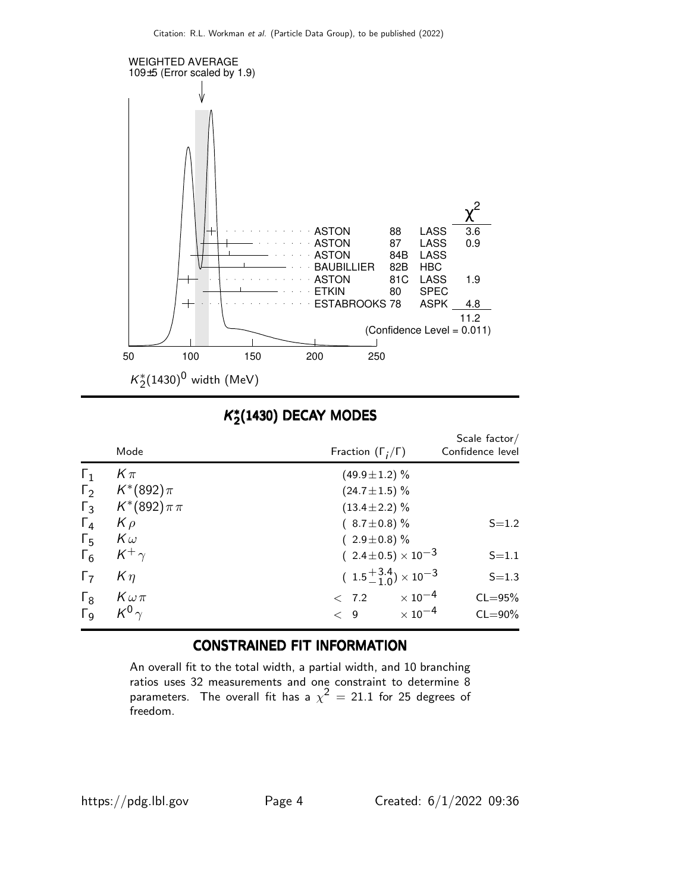

## $K_2^*(1430)$  DECAY MODES

|                       | Mode             | Fraction $(\Gamma_i/\Gamma)$             | Scale $factor/$<br>Confidence level |
|-----------------------|------------------|------------------------------------------|-------------------------------------|
| $\Gamma_1$            | $K\pi$           | $(49.9 \pm 1.2)$ %                       |                                     |
| $\Gamma_2$            | $K^*(892)\pi$    | $(24.7 \pm 1.5)\%$                       |                                     |
| $\Gamma_3$            | $K^*(892)\pi\pi$ | $(13.4 \pm 2.2)\%$                       |                                     |
| $\Gamma_4$            | $K \rho$         | $(8.7 \pm 0.8)$ %                        | $S = 1.2$                           |
| $\Gamma_{5}$          | $K\omega$        | $(2.9 \pm 0.8)\%$                        |                                     |
| $\Gamma_6$            | $K^+$            | $(2.4 \pm 0.5) \times 10^{-3}$           | $S = 1.1$                           |
| $\Gamma_7$            | $K\eta$          | $(1.5 + 3.4) \times 10^{-3}$             | $S = 1.3$                           |
| $\Gamma_8$            | $K\omega\pi$     | $\times$ 10 $^{-4}$<br>< 7.2             | $CL = 95%$                          |
| $\Gamma$ <sub>9</sub> | $K^0$            | $\times$ 10 <sup>-4</sup><br>$\langle 9$ | $CL = 90\%$                         |

#### CONSTRAINED FIT INFORMATION

An overall fit to the total width, a partial width, and 10 branching ratios uses 32 measurements and one constraint to determine 8 parameters. The overall fit has a  $\chi^2\,=\,$  21.1 for 25 degrees of freedom.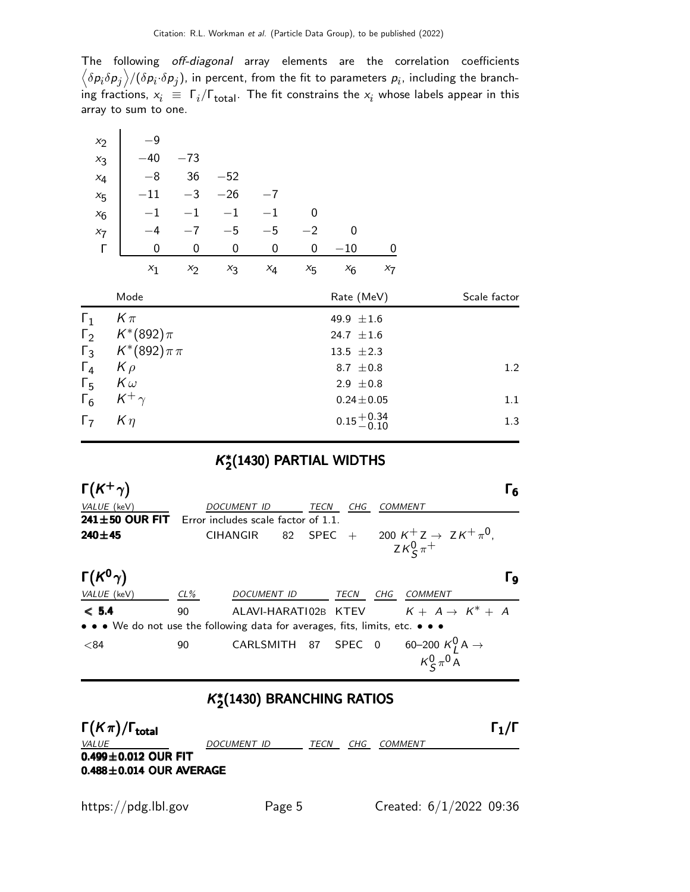The following off-diagonal array elements are the correlation coefficients  $\left<\delta p_i\delta p_j\right>$ /( $\delta p_i\!\cdot\!\delta p_j$ ), in percent, from the fit to parameters  $p_i$ , including the branching fractions,  $x_i \equiv \Gamma_i/\Gamma_{\rm total}$ . The fit constrains the  $x_i$  whose labels appear in this array to sum to one.

| $x_2$      | $-9$             |       |       |             |             |                 |       |              |
|------------|------------------|-------|-------|-------------|-------------|-----------------|-------|--------------|
| $x_3$      | $-40$            | $-73$ |       |             |             |                 |       |              |
| $x_4$      | $-8$             | 36    | $-52$ |             |             |                 |       |              |
| $x_{5}$    | $-11$            | $-3$  | $-26$ | $-7$        |             |                 |       |              |
| $x_6$      | $-1$             | $-1$  | $-1$  | $-1$        | $\mathbf 0$ |                 |       |              |
| $x_7$      | $-4$             | $-7$  | $-5$  | $-5$        | $^{-2}$     | $\mathbf 0$     |       |              |
| Г          | $\mathbf 0$      | 0     | 0     | $\mathbf 0$ | 0           | $-10$           | 0     |              |
|            | $x_1$            | $x_2$ | $x_3$ | $x_4$       | $x_{5}$     | $x_6$           | $x_7$ |              |
|            |                  |       |       |             |             |                 |       |              |
|            | Mode             |       |       |             |             | Rate (MeV)      |       | Scale factor |
| $\Gamma_1$ | $K\pi$           |       |       |             |             | 49.9 $\pm 1.6$  |       |              |
| $\Gamma_2$ | $K^*(892)\pi$    |       |       |             |             | 24.7 $\pm 1.6$  |       |              |
| $\Gamma_3$ | $K^*(892)\pi\pi$ |       |       |             |             | 13.5 $\pm 2.3$  |       |              |
| $\Gamma_4$ | $K \rho$         |       |       |             |             | 8.7 $\pm 0.8$   |       | 1.2          |
| $\Gamma_5$ | $K\omega$        |       |       |             |             | 2.9 $\pm 0.8$   |       |              |
| $\Gamma_6$ | $K^+\gamma$      |       |       |             |             | $0.24 \pm 0.05$ |       | 1.1          |

### $K^*_2$ (1430) PARTIAL WIDTHS

| $\Gamma(K^+\gamma)$                                                           |        |                                     |             |      |                |                                                                          | Г6 |
|-------------------------------------------------------------------------------|--------|-------------------------------------|-------------|------|----------------|--------------------------------------------------------------------------|----|
| VALUE (keV)                                                                   |        | <i>DOCUMENT ID</i>                  | TECN        | CHG  | <b>COMMENT</b> |                                                                          |    |
| $241 \pm 50$ OUR FIT                                                          |        | Error includes scale factor of 1.1. |             |      |                |                                                                          |    |
| $240 + 45$                                                                    |        | 82<br><b>CIHANGIR</b>               | <b>SPEC</b> | $+$  | $ZK^0_S\pi^+$  | 200 K <sup>+</sup> Z $\rightarrow$ Z K <sup>+</sup> $\pi$ <sup>0</sup> , |    |
| $\Gamma(K^0\gamma)$                                                           |        |                                     |             |      |                |                                                                          | Γg |
| VALUE (keV)                                                                   | $CL\%$ | DOCUMENT ID                         |             | TECN | CHG            | COMMENT                                                                  |    |
| < 5.4                                                                         | 90     | ALAVI-HARATI02B KTEV                |             |      |                | $K + A \rightarrow K^* + A$                                              |    |
| • • • We do not use the following data for averages, fits, limits, etc. • • • |        |                                     |             |      |                |                                                                          |    |
| < 84                                                                          | 90     | CARLSMITH 87 SPEC 0                 |             |      |                | 60–200 $K_I^0$ A $\rightarrow$<br>$K_{\mathsf{c}}^0 \pi^0 \bar{A}$       |    |

### K<sup>\*</sup>2(1430) BRANCHING RATIOS

| $\Gamma(K\pi)/\Gamma_{\rm total}$ |             |      |     |                | $\Gamma_1/\Gamma$ |
|-----------------------------------|-------------|------|-----|----------------|-------------------|
| <i>VALUE</i>                      | DOCUMENT ID | TECN | CHG | <i>COMMENT</i> |                   |
| $0.499 \pm 0.012$ OUR FIT         |             |      |     |                |                   |
| $0.488 \pm 0.014$ OUR AVERAGE     |             |      |     |                |                   |
|                                   |             |      |     |                |                   |

 $\ddot{\phantom{a}}$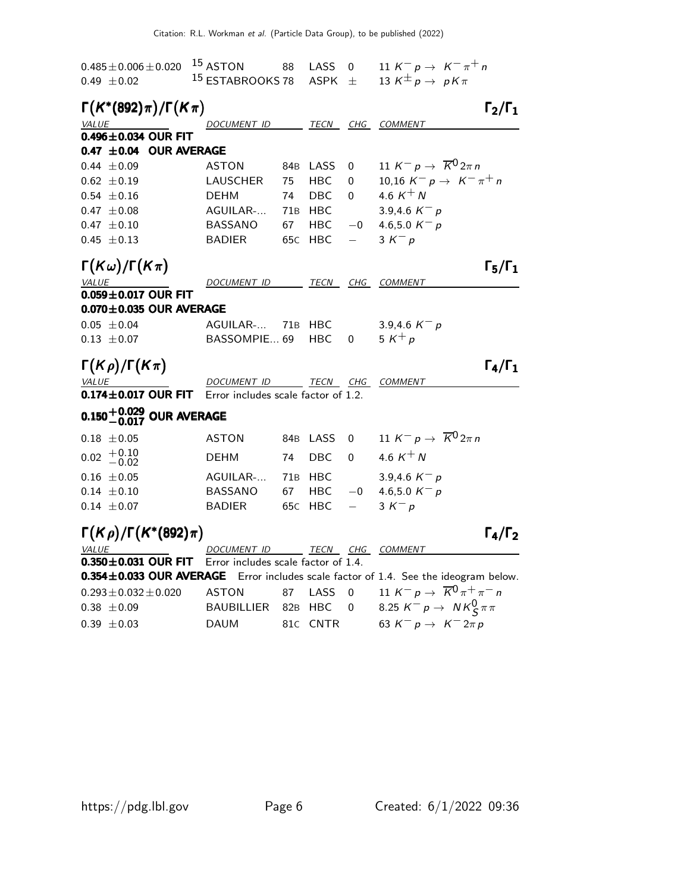| $0.485 \pm 0.006 \pm 0.020$<br>$0.49 \pm 0.02$     | 15 ASTON<br><sup>15</sup> ESTABROOKS 78 | 88              | LASS<br><b>ASPK</b>      | $\mathbf 0$<br>士 | 11 K <sup>-</sup> p $\rightarrow$ K <sup>-</sup> $\pi$ <sup>+</sup> n<br>13 K <sup><math>\pm</math></sup> p $\rightarrow$ pK $\pi$ |
|----------------------------------------------------|-----------------------------------------|-----------------|--------------------------|------------------|------------------------------------------------------------------------------------------------------------------------------------|
| $\Gamma(K^*(892)\pi)/\Gamma(K\pi)$<br><b>VALUE</b> | <i>DOCUMENT ID</i>                      |                 | TECN                     | CHG              | $\Gamma_2/\Gamma_1$<br><b>COMMENT</b>                                                                                              |
| $0.496 \pm 0.034$ OUR FIT                          |                                         |                 |                          |                  |                                                                                                                                    |
| 0.47 $\pm$ 0.04 OUR AVERAGE                        |                                         |                 |                          |                  |                                                                                                                                    |
| $0.44 \pm 0.09$                                    | <b>ASTON</b>                            | 84B             | LASS                     | 0                | 11 K <sup>-</sup> p $\rightarrow \overline{K}^0 2\pi n$                                                                            |
| $0.62 \pm 0.19$                                    | LAUSCHER                                | 75              | HBC                      | 0                | 10,16 $K^- p \to K^- \pi^+ n$                                                                                                      |
| $0.54 \pm 0.16$                                    | <b>DEHM</b>                             | 74              | <b>DBC</b>               | $\Omega$         | 4.6 $K^{+}N$                                                                                                                       |
| $0.47 \pm 0.08$                                    | AGUILAR-                                | 71B             | HBC                      |                  | 3.9,4.6 $K^- p$                                                                                                                    |
| $0.47 \pm 0.10$                                    | <b>BASSANO</b>                          | 67              | HBC                      | $^{-0}$          | 4.6,5.0 $K^- p$                                                                                                                    |
| $0.45 \pm 0.13$                                    | <b>BADIER</b>                           | 65C             | HBC                      | $\equiv$         | $3 K^- p$                                                                                                                          |
| $\Gamma(K\omega)/\Gamma(K\pi)$                     |                                         |                 |                          |                  | $\Gamma_5/\Gamma_1$                                                                                                                |
| VALUE                                              | DOCUMENT ID TECN CHG                    |                 |                          |                  | COMMENT                                                                                                                            |
| $0.059 \pm 0.017$ OUR FIT                          |                                         |                 |                          |                  |                                                                                                                                    |
| $0.070 \pm 0.035$ OUR AVERAGE                      |                                         |                 |                          |                  |                                                                                                                                    |
| $0.05 \pm 0.04$                                    | AGUILAR-                                |                 | 71B HBC                  |                  | 3.9,4.6 $K^- p$                                                                                                                    |
| $0.13 \pm 0.07$                                    | BASSOMPIE 69                            |                 | <b>HBC</b>               | 0                | 5 $K^+p$                                                                                                                           |
| $\Gamma(K\rho)/\Gamma(K\pi)$                       |                                         |                 |                          |                  | $\Gamma_4/\Gamma_1$                                                                                                                |
| <i><b>VALUE</b></i>                                | DOCUMENT ID                             |                 | <u>___ TECN __ CHG _</u> |                  | COMMENT                                                                                                                            |
| $0.174 \pm 0.017$ OUR FIT                          | Error includes scale factor of 1.2.     |                 |                          |                  |                                                                                                                                    |
| $0.150^{+0.029}_{-0.017}$ OUR AVERAGE              |                                         |                 |                          |                  |                                                                                                                                    |
| $0.18 \pm 0.05$                                    | <b>ASTON</b>                            |                 | 84B LASS                 | 0                | 11 $K^- p \rightarrow \overline{K}^0 2\pi n$                                                                                       |
| $+0.10$<br>$-0.02$<br>0.02                         | <b>DEHM</b>                             | 74              | <b>DBC</b>               | $\Omega$         | 4.6 $K^{+}N$                                                                                                                       |
| $0.16 \pm 0.05$                                    | AGUILAR-                                | 71B             | <b>HBC</b>               |                  | 3.9,4.6 $K^- p$                                                                                                                    |
| $0.14 \pm 0.10$                                    | <b>BASSANO</b>                          | 67              | <b>HBC</b>               | $-0$             | 4.6,5.0 $K^- p$                                                                                                                    |
| $0.14 \pm 0.07$                                    | <b>BADIER</b>                           | 65 <sub>C</sub> | HBC                      |                  | $3 K^- p$                                                                                                                          |
| $\Gamma(K\rho)/\Gamma(K^*(892)\pi)$                |                                         |                 |                          |                  | $\Gamma_4/\Gamma_2$                                                                                                                |
| <b>VALUE</b>                                       | DOCUMENT ID                             |                 | TECN CHG                 |                  | <b>COMMENT</b>                                                                                                                     |
| $0.350 \pm 0.031$ OUR FIT                          | Error includes scale factor of 1.4.     |                 |                          |                  |                                                                                                                                    |
| $0.354 \pm 0.033$ OUR AVERAGE                      |                                         |                 |                          |                  | Error includes scale factor of 1.4. See the ideogram below.                                                                        |
| $0.293 \pm 0.032 \pm 0.020$                        | <b>ASTON</b>                            | 87              | LASS                     | $\Omega$         | 11 K <sup>-</sup> p $\rightarrow \overline{K}^0 \pi^+ \pi^-$ n                                                                     |
| $0.38 \pm 0.09$                                    | <b>BAUBILLIER</b>                       |                 | 82B HBC                  | 0                | 8.25 $K^- p \to N K^0_S \pi \pi$                                                                                                   |
| $0.39 \pm 0.03$                                    | <b>DAUM</b>                             |                 | 81C CNTR                 |                  | 63 $K^- p \to K^- 2\pi p$                                                                                                          |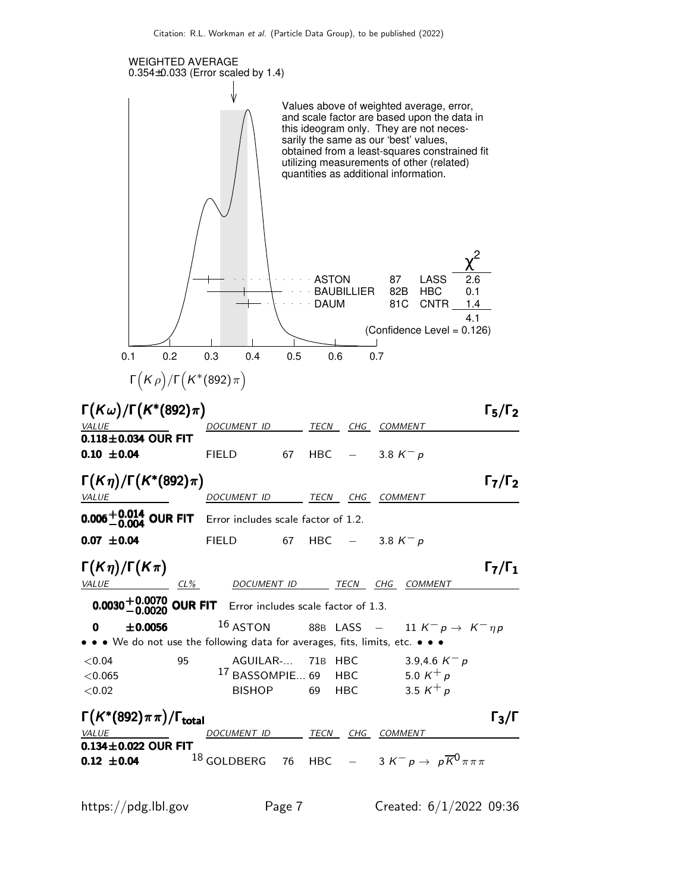